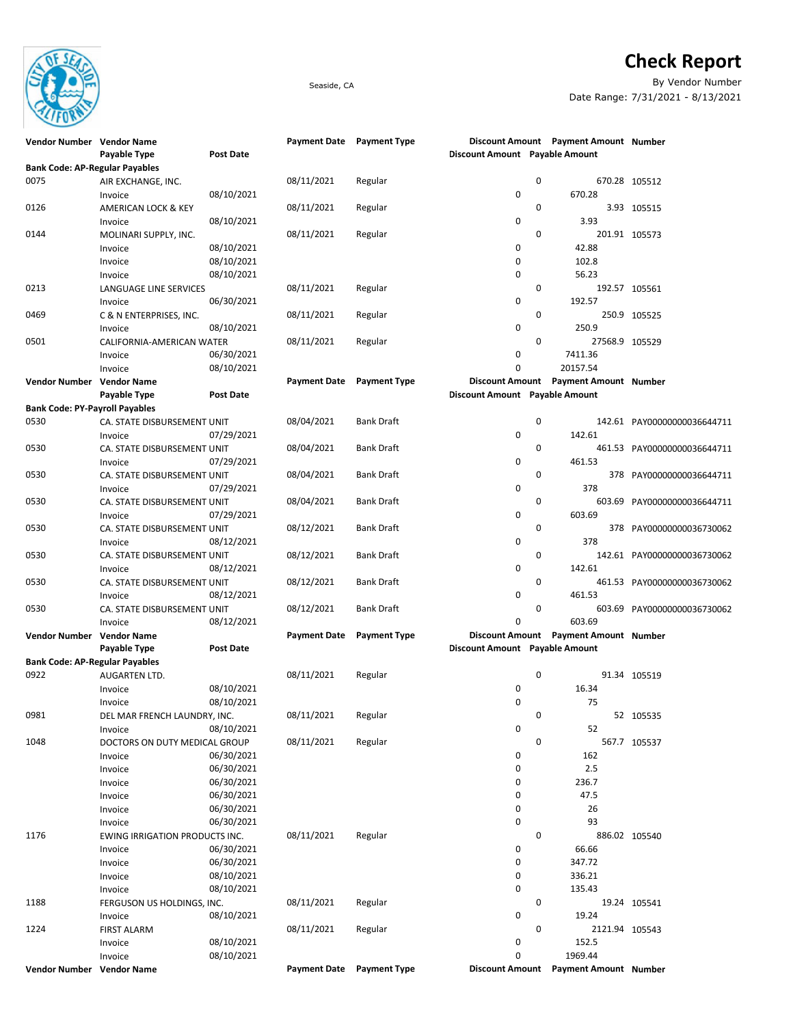

## **Check Report**

Seaside, CA By Vendor Number Date Range: 7/31/2021 - 8/13/2021

| Vendor Number Vendor Name                     |                                |                          | Payment Date Payment Type |                     |                                |             | Discount Amount Payment Amount Number |                             |
|-----------------------------------------------|--------------------------------|--------------------------|---------------------------|---------------------|--------------------------------|-------------|---------------------------------------|-----------------------------|
|                                               | Payable Type                   | <b>Post Date</b>         |                           |                     | Discount Amount Payable Amount |             |                                       |                             |
| <b>Bank Code: AP-Regular Payables</b><br>0075 |                                |                          |                           |                     |                                | 0           |                                       | 670.28 105512               |
|                                               | AIR EXCHANGE, INC.<br>Invoice  | 08/10/2021               | 08/11/2021                | Regular             | 0                              |             | 670.28                                |                             |
| 0126                                          | <b>AMERICAN LOCK &amp; KEY</b> |                          | 08/11/2021                | Regular             |                                | 0           |                                       | 3.93 105515                 |
|                                               | Invoice                        | 08/10/2021               |                           |                     | 0                              |             | 3.93                                  |                             |
| 0144                                          | MOLINARI SUPPLY, INC.          |                          | 08/11/2021                | Regular             |                                | $\mathbf 0$ |                                       | 201.91 105573               |
|                                               | Invoice                        | 08/10/2021               |                           |                     | 0                              |             | 42.88                                 |                             |
|                                               | Invoice                        | 08/10/2021               |                           |                     | 0                              |             | 102.8                                 |                             |
|                                               | Invoice                        | 08/10/2021               |                           |                     | 0                              |             | 56.23                                 |                             |
| 0213                                          | LANGUAGE LINE SERVICES         |                          | 08/11/2021                | Regular             |                                | 0           |                                       | 192.57 105561               |
|                                               | Invoice                        | 06/30/2021               |                           |                     | 0                              |             | 192.57                                |                             |
| 0469                                          | C & N ENTERPRISES, INC.        |                          | 08/11/2021                | Regular             |                                | 0           |                                       | 250.9 105525                |
|                                               | Invoice                        | 08/10/2021               |                           |                     | 0                              |             | 250.9                                 |                             |
| 0501                                          | CALIFORNIA-AMERICAN WATER      |                          | 08/11/2021                | Regular             |                                | $\mathbf 0$ | 27568.9 105529                        |                             |
|                                               | Invoice                        | 06/30/2021               |                           |                     | 0                              |             | 7411.36                               |                             |
|                                               | Invoice                        | 08/10/2021               |                           |                     | 0                              |             | 20157.54                              |                             |
| Vendor Number Vendor Name                     |                                |                          | <b>Payment Date</b>       | <b>Payment Type</b> |                                |             | Discount Amount Payment Amount Number |                             |
|                                               | Payable Type                   | <b>Post Date</b>         |                           |                     | Discount Amount Payable Amount |             |                                       |                             |
| <b>Bank Code: PY-Payroll Payables</b>         |                                |                          |                           |                     |                                |             |                                       |                             |
| 0530                                          | CA. STATE DISBURSEMENT UNIT    |                          | 08/04/2021                | <b>Bank Draft</b>   |                                | 0           |                                       | 142.61 PAY00000000036644711 |
|                                               | Invoice                        | 07/29/2021               |                           |                     | 0                              |             | 142.61                                |                             |
| 0530                                          | CA. STATE DISBURSEMENT UNIT    |                          | 08/04/2021                | <b>Bank Draft</b>   |                                | 0           |                                       | 461.53 PAY00000000036644711 |
|                                               | Invoice                        | 07/29/2021               |                           |                     | 0                              |             | 461.53                                |                             |
| 0530                                          | CA. STATE DISBURSEMENT UNIT    |                          | 08/04/2021                | Bank Draft          |                                | $\mathbf 0$ |                                       | 378 PAY00000000036644711    |
|                                               | Invoice                        | 07/29/2021               |                           |                     | 0                              |             | 378                                   |                             |
| 0530                                          | CA. STATE DISBURSEMENT UNIT    |                          | 08/04/2021                | <b>Bank Draft</b>   |                                | 0           | 603.69                                | PAY00000000036644711        |
|                                               | Invoice                        | 07/29/2021               |                           |                     | 0                              |             | 603.69                                |                             |
| 0530                                          | CA. STATE DISBURSEMENT UNIT    |                          | 08/12/2021                | <b>Bank Draft</b>   |                                | 0           |                                       | 378 PAY00000000036730062    |
|                                               | Invoice                        | 08/12/2021               |                           |                     | 0                              |             | 378                                   |                             |
| 0530                                          | CA. STATE DISBURSEMENT UNIT    |                          | 08/12/2021                | <b>Bank Draft</b>   |                                | $\mathbf 0$ |                                       | 142.61 PAY00000000036730062 |
|                                               | Invoice                        | 08/12/2021               |                           |                     | 0                              |             | 142.61                                |                             |
| 0530                                          | CA. STATE DISBURSEMENT UNIT    |                          | 08/12/2021                | Bank Draft          |                                | $\mathbf 0$ |                                       | 461.53 PAY00000000036730062 |
|                                               | Invoice                        | 08/12/2021               |                           |                     | 0                              |             | 461.53                                |                             |
| 0530                                          | CA. STATE DISBURSEMENT UNIT    |                          | 08/12/2021                | <b>Bank Draft</b>   |                                | 0           |                                       | 603.69 PAY00000000036730062 |
|                                               | Invoice                        | 08/12/2021               |                           |                     | 0                              |             | 603.69                                |                             |
| Vendor Number Vendor Name                     |                                |                          | <b>Payment Date</b>       | <b>Payment Type</b> | <b>Discount Amount</b>         |             | <b>Payment Amount Number</b>          |                             |
|                                               | Payable Type                   | <b>Post Date</b>         |                           |                     | Discount Amount Payable Amount |             |                                       |                             |
| <b>Bank Code: AP-Regular Payables</b>         |                                |                          |                           |                     |                                |             |                                       |                             |
| 0922                                          | AUGARTEN LTD.                  |                          | 08/11/2021                | Regular             |                                | $\pmb{0}$   |                                       | 91.34 105519                |
|                                               | Invoice                        | 08/10/2021               |                           |                     | 0                              |             | 16.34                                 |                             |
|                                               | Invoice                        | 08/10/2021               |                           |                     | 0                              |             | 75                                    |                             |
| 0981                                          | DEL MAR FRENCH LAUNDRY, INC.   |                          | 08/11/2021                | Regular             |                                | 0           |                                       | 52 105535                   |
|                                               | Invoice                        | 08/10/2021               |                           |                     | 0                              |             | 52                                    |                             |
| 1048                                          | DOCTORS ON DUTY MEDICAL GROUP  |                          | 08/11/2021                | Regular             |                                | 0           |                                       | 567.7 105537                |
|                                               | Invoice                        | 06/30/2021               |                           |                     | 0                              |             | 162                                   |                             |
|                                               | Invoice                        | 06/30/2021               |                           |                     | 0                              |             | 2.5                                   |                             |
|                                               | Invoice                        | 06/30/2021               |                           |                     | 0                              |             | 236.7                                 |                             |
|                                               | Invoice                        | 06/30/2021               |                           |                     | 0                              |             | 47.5                                  |                             |
|                                               | Invoice                        | 06/30/2021               |                           |                     | 0                              |             | 26                                    |                             |
|                                               | Invoice                        | 06/30/2021               |                           |                     | 0                              |             | 93                                    |                             |
| 1176                                          | EWING IRRIGATION PRODUCTS INC. |                          | 08/11/2021                | Regular             |                                | 0           |                                       | 886.02 105540               |
|                                               | Invoice                        | 06/30/2021               |                           |                     | 0                              |             | 66.66                                 |                             |
|                                               | Invoice                        | 06/30/2021               |                           |                     | 0                              |             | 347.72                                |                             |
|                                               | Invoice                        | 08/10/2021               |                           |                     | 0                              |             | 336.21                                |                             |
|                                               | Invoice                        | 08/10/2021               |                           |                     | 0                              |             | 135.43                                |                             |
| 1188                                          | FERGUSON US HOLDINGS, INC.     |                          | 08/11/2021                | Regular             |                                | 0           |                                       | 19.24 105541                |
|                                               | Invoice                        | 08/10/2021               |                           |                     | 0                              | 0           | 19.24                                 |                             |
| 1224                                          | <b>FIRST ALARM</b>             |                          | 08/11/2021                | Regular             | 0                              |             | 2121.94 105543<br>152.5               |                             |
|                                               | Invoice<br>Invoice             | 08/10/2021<br>08/10/2021 |                           |                     | 0                              |             | 1969.44                               |                             |
| Vendor Number Vendor Name                     |                                |                          | <b>Payment Date</b>       | <b>Payment Type</b> | <b>Discount Amount</b>         |             | Payment Amount Number                 |                             |
|                                               |                                |                          |                           |                     |                                |             |                                       |                             |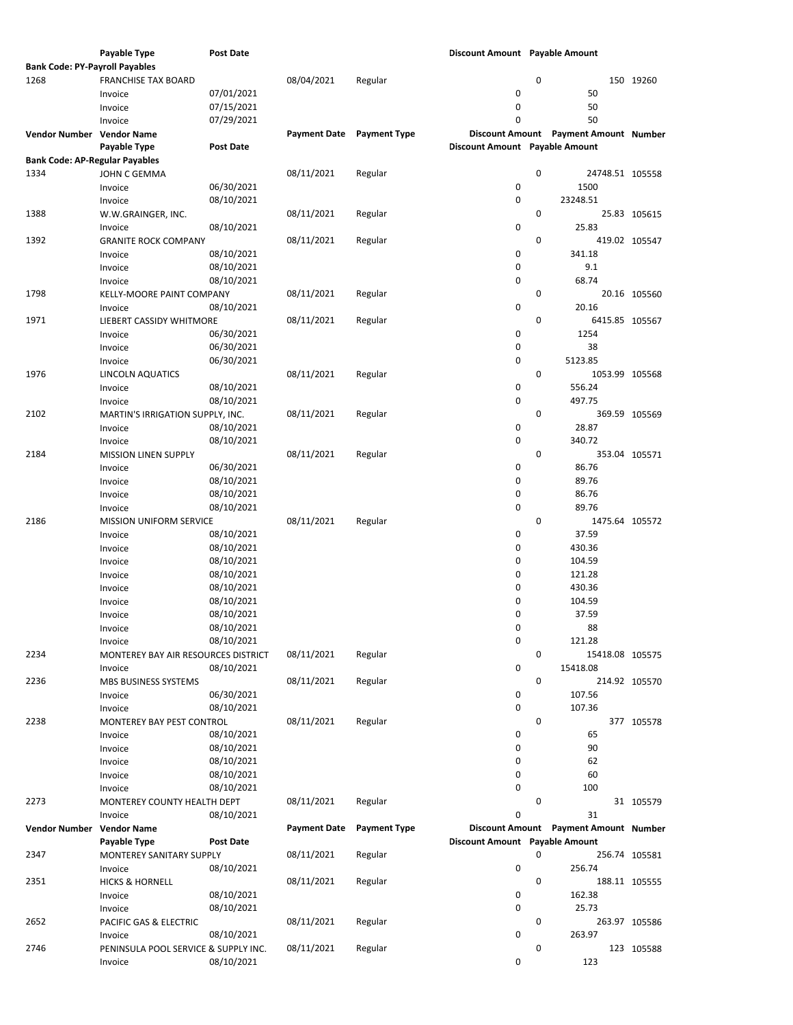|                                       | Payable Type                         | <b>Post Date</b> |                     |                     | Discount Amount Payable Amount |             |                                       |               |
|---------------------------------------|--------------------------------------|------------------|---------------------|---------------------|--------------------------------|-------------|---------------------------------------|---------------|
| <b>Bank Code: PY-Payroll Payables</b> |                                      |                  |                     |                     |                                |             |                                       |               |
| 1268                                  | <b>FRANCHISE TAX BOARD</b>           |                  | 08/04/2021          | Regular             |                                | 0           |                                       | 150 19260     |
|                                       |                                      |                  |                     |                     |                                |             |                                       |               |
|                                       | Invoice                              | 07/01/2021       |                     |                     | 0                              |             | 50                                    |               |
|                                       | Invoice                              | 07/15/2021       |                     |                     | 0                              |             | 50                                    |               |
|                                       | Invoice                              | 07/29/2021       |                     |                     | 0                              |             | 50                                    |               |
| Vendor Number Vendor Name             |                                      |                  | <b>Payment Date</b> | <b>Payment Type</b> |                                |             | Discount Amount Payment Amount Number |               |
|                                       |                                      |                  |                     |                     |                                |             |                                       |               |
|                                       | Payable Type                         | <b>Post Date</b> |                     |                     | Discount Amount Payable Amount |             |                                       |               |
| <b>Bank Code: AP-Regular Payables</b> |                                      |                  |                     |                     |                                |             |                                       |               |
| 1334                                  | JOHN C GEMMA                         |                  | 08/11/2021          | Regular             |                                | $\mathbf 0$ | 24748.51 105558                       |               |
|                                       | Invoice                              | 06/30/2021       |                     |                     | 0                              |             | 1500                                  |               |
|                                       |                                      |                  |                     |                     |                                |             | 23248.51                              |               |
|                                       | Invoice                              | 08/10/2021       |                     |                     | 0                              |             |                                       |               |
| 1388                                  | W.W.GRAINGER, INC.                   |                  | 08/11/2021          | Regular             |                                | 0           |                                       | 25.83 105615  |
|                                       | Invoice                              | 08/10/2021       |                     |                     | 0                              |             | 25.83                                 |               |
| 1392                                  | <b>GRANITE ROCK COMPANY</b>          |                  | 08/11/2021          | Regular             |                                | 0           |                                       | 419.02 105547 |
|                                       | Invoice                              | 08/10/2021       |                     |                     | 0                              |             | 341.18                                |               |
|                                       |                                      |                  |                     |                     |                                |             |                                       |               |
|                                       | Invoice                              | 08/10/2021       |                     |                     | 0                              |             | 9.1                                   |               |
|                                       | Invoice                              | 08/10/2021       |                     |                     | 0                              |             | 68.74                                 |               |
| 1798                                  | KELLY-MOORE PAINT COMPANY            |                  | 08/11/2021          | Regular             |                                | 0           |                                       | 20.16 105560  |
|                                       |                                      | 08/10/2021       |                     |                     | 0                              |             | 20.16                                 |               |
|                                       | Invoice                              |                  |                     |                     |                                |             |                                       |               |
| 1971                                  | LIEBERT CASSIDY WHITMORE             |                  | 08/11/2021          | Regular             |                                | 0           | 6415.85 105567                        |               |
|                                       | Invoice                              | 06/30/2021       |                     |                     | 0                              |             | 1254                                  |               |
|                                       | Invoice                              | 06/30/2021       |                     |                     | 0                              |             | 38                                    |               |
|                                       | Invoice                              | 06/30/2021       |                     |                     | 0                              |             | 5123.85                               |               |
|                                       |                                      |                  |                     |                     |                                |             |                                       |               |
| 1976                                  | LINCOLN AQUATICS                     |                  | 08/11/2021          | Regular             |                                | 0           | 1053.99 105568                        |               |
|                                       | Invoice                              | 08/10/2021       |                     |                     | 0                              |             | 556.24                                |               |
|                                       | Invoice                              | 08/10/2021       |                     |                     | 0                              |             | 497.75                                |               |
| 2102                                  | MARTIN'S IRRIGATION SUPPLY, INC.     |                  | 08/11/2021          | Regular             |                                | 0           |                                       | 369.59 105569 |
|                                       |                                      |                  |                     |                     |                                |             |                                       |               |
|                                       | Invoice                              | 08/10/2021       |                     |                     | 0                              |             | 28.87                                 |               |
|                                       | Invoice                              | 08/10/2021       |                     |                     | 0                              |             | 340.72                                |               |
| 2184                                  | <b>MISSION LINEN SUPPLY</b>          |                  | 08/11/2021          | Regular             |                                | 0           |                                       | 353.04 105571 |
|                                       | Invoice                              | 06/30/2021       |                     |                     | 0                              |             | 86.76                                 |               |
|                                       |                                      |                  |                     |                     | 0                              |             | 89.76                                 |               |
|                                       | Invoice                              | 08/10/2021       |                     |                     |                                |             |                                       |               |
|                                       | Invoice                              | 08/10/2021       |                     |                     | 0                              |             | 86.76                                 |               |
|                                       | Invoice                              | 08/10/2021       |                     |                     | 0                              |             | 89.76                                 |               |
| 2186                                  | MISSION UNIFORM SERVICE              |                  | 08/11/2021          | Regular             |                                | 0           | 1475.64 105572                        |               |
|                                       |                                      |                  |                     |                     | 0                              |             | 37.59                                 |               |
|                                       | Invoice                              | 08/10/2021       |                     |                     |                                |             |                                       |               |
|                                       | Invoice                              | 08/10/2021       |                     |                     | 0                              |             | 430.36                                |               |
|                                       | Invoice                              | 08/10/2021       |                     |                     | 0                              |             | 104.59                                |               |
|                                       | Invoice                              | 08/10/2021       |                     |                     | 0                              |             | 121.28                                |               |
|                                       |                                      | 08/10/2021       |                     |                     | 0                              |             | 430.36                                |               |
|                                       | Invoice                              |                  |                     |                     |                                |             |                                       |               |
|                                       | Invoice                              | 08/10/2021       |                     |                     | 0                              |             | 104.59                                |               |
|                                       | Invoice                              | 08/10/2021       |                     |                     | 0                              |             | 37.59                                 |               |
|                                       | Invoice                              | 08/10/2021       |                     |                     | 0                              |             | 88                                    |               |
|                                       | Invoice                              | 08/10/2021       |                     |                     | 0                              |             | 121.28                                |               |
|                                       |                                      |                  |                     |                     |                                |             |                                       |               |
| 2234                                  | MONTEREY BAY AIR RESOURCES DISTRICT  |                  | 08/11/2021          | Regular             |                                | $\mathbf 0$ | 15418.08 105575                       |               |
|                                       | Invoice                              | 08/10/2021       |                     |                     | 0                              |             | 15418.08                              |               |
| 2236                                  | MBS BUSINESS SYSTEMS                 |                  | 08/11/2021          | Regular             |                                | $\mathbf 0$ |                                       | 214.92 105570 |
|                                       | Invoice                              | 06/30/2021       |                     |                     | 0                              |             | 107.56                                |               |
|                                       |                                      |                  |                     |                     |                                |             |                                       |               |
|                                       | Invoice                              | 08/10/2021       |                     |                     | 0                              |             | 107.36                                |               |
| 2238                                  | MONTEREY BAY PEST CONTROL            |                  | 08/11/2021          | Regular             |                                | 0           |                                       | 377 105578    |
|                                       | Invoice                              | 08/10/2021       |                     |                     | 0                              |             | 65                                    |               |
|                                       | Invoice                              | 08/10/2021       |                     |                     | 0                              |             | 90                                    |               |
|                                       |                                      |                  |                     |                     |                                |             |                                       |               |
|                                       | Invoice                              | 08/10/2021       |                     |                     | 0                              |             | 62                                    |               |
|                                       | Invoice                              | 08/10/2021       |                     |                     | 0                              |             | 60                                    |               |
|                                       | Invoice                              | 08/10/2021       |                     |                     | 0                              |             | 100                                   |               |
| 2273                                  | MONTEREY COUNTY HEALTH DEPT          |                  | 08/11/2021          | Regular             |                                | 0           |                                       | 31 105579     |
|                                       |                                      |                  |                     |                     | 0                              |             | 31                                    |               |
|                                       | Invoice                              | 08/10/2021       |                     |                     |                                |             |                                       |               |
| <b>Vendor Number</b>                  | <b>Vendor Name</b>                   |                  | <b>Payment Date</b> | <b>Payment Type</b> |                                |             | Discount Amount Payment Amount Number |               |
|                                       | Payable Type                         | <b>Post Date</b> |                     |                     | Discount Amount Payable Amount |             |                                       |               |
| 2347                                  | MONTEREY SANITARY SUPPLY             |                  | 08/11/2021          | Regular             |                                | 0           |                                       | 256.74 105581 |
|                                       |                                      |                  |                     |                     |                                |             |                                       |               |
|                                       | Invoice                              | 08/10/2021       |                     |                     | 0                              |             | 256.74                                |               |
| 2351                                  | <b>HICKS &amp; HORNELL</b>           |                  | 08/11/2021          | Regular             |                                | $\mathbf 0$ |                                       | 188.11 105555 |
|                                       | Invoice                              | 08/10/2021       |                     |                     | 0                              |             | 162.38                                |               |
|                                       | Invoice                              | 08/10/2021       |                     |                     | 0                              |             | 25.73                                 |               |
| 2652                                  | PACIFIC GAS & ELECTRIC               |                  | 08/11/2021          | Regular             |                                | 0           |                                       | 263.97 105586 |
|                                       |                                      |                  |                     |                     |                                |             |                                       |               |
|                                       | Invoice                              | 08/10/2021       |                     |                     | 0                              |             | 263.97                                |               |
| 2746                                  | PENINSULA POOL SERVICE & SUPPLY INC. |                  | 08/11/2021          | Regular             |                                | 0           |                                       | 123 105588    |
|                                       | Invoice                              | 08/10/2021       |                     |                     | 0                              |             | 123                                   |               |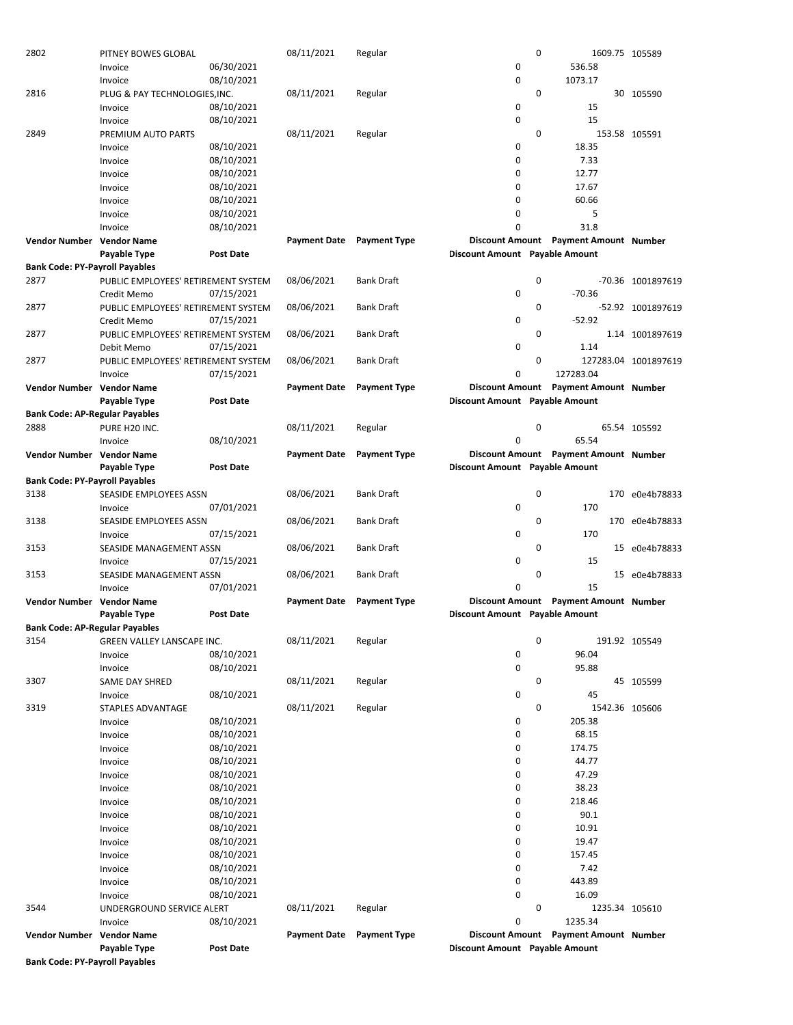|                                       | Invoice                             | 06/30/2021       |                     |                     | 0                              |             | 536.58                                |                      |
|---------------------------------------|-------------------------------------|------------------|---------------------|---------------------|--------------------------------|-------------|---------------------------------------|----------------------|
|                                       | Invoice                             | 08/10/2021       |                     |                     | 0                              |             | 1073.17                               |                      |
| 2816                                  | PLUG & PAY TECHNOLOGIES, INC.       |                  | 08/11/2021          | Regular             |                                | $\mathbf 0$ |                                       | 30 105590            |
|                                       | Invoice                             | 08/10/2021       |                     |                     | 0                              |             | 15                                    |                      |
|                                       | Invoice                             | 08/10/2021       |                     |                     | 0                              |             | 15                                    |                      |
| 2849                                  | PREMIUM AUTO PARTS                  |                  | 08/11/2021          |                     |                                | 0           |                                       | 153.58 105591        |
|                                       |                                     |                  |                     | Regular             |                                |             |                                       |                      |
|                                       | Invoice                             | 08/10/2021       |                     |                     | 0                              |             | 18.35                                 |                      |
|                                       | Invoice                             | 08/10/2021       |                     |                     | 0                              |             | 7.33                                  |                      |
|                                       | Invoice                             | 08/10/2021       |                     |                     | 0                              |             | 12.77                                 |                      |
|                                       | Invoice                             | 08/10/2021       |                     |                     | 0                              |             | 17.67                                 |                      |
|                                       | Invoice                             | 08/10/2021       |                     |                     | 0                              |             | 60.66                                 |                      |
|                                       |                                     |                  |                     |                     |                                |             |                                       |                      |
|                                       | Invoice                             | 08/10/2021       |                     |                     | 0                              |             | 5                                     |                      |
|                                       | Invoice                             | 08/10/2021       |                     |                     | 0                              |             | 31.8                                  |                      |
| Vendor Number Vendor Name             |                                     |                  | <b>Payment Date</b> | <b>Payment Type</b> |                                |             | Discount Amount Payment Amount Number |                      |
|                                       | Payable Type                        | Post Date        |                     |                     | Discount Amount Payable Amount |             |                                       |                      |
| <b>Bank Code: PY-Payroll Payables</b> |                                     |                  |                     |                     |                                |             |                                       |                      |
|                                       |                                     |                  |                     |                     |                                |             |                                       |                      |
| 2877                                  | PUBLIC EMPLOYEES' RETIREMENT SYSTEM |                  | 08/06/2021          | <b>Bank Draft</b>   |                                | 0           |                                       | -70.36 1001897619    |
|                                       | Credit Memo                         | 07/15/2021       |                     |                     | 0                              |             | $-70.36$                              |                      |
| 2877                                  | PUBLIC EMPLOYEES' RETIREMENT SYSTEM |                  | 08/06/2021          | <b>Bank Draft</b>   |                                | 0           |                                       | -52.92 1001897619    |
|                                       | Credit Memo                         | 07/15/2021       |                     |                     | 0                              |             | $-52.92$                              |                      |
| 2877                                  | PUBLIC EMPLOYEES' RETIREMENT SYSTEM |                  | 08/06/2021          | <b>Bank Draft</b>   |                                | 0           |                                       | 1.14 1001897619      |
|                                       |                                     | 07/15/2021       |                     |                     | 0                              |             | 1.14                                  |                      |
|                                       | Debit Memo                          |                  |                     |                     |                                |             |                                       |                      |
| 2877                                  | PUBLIC EMPLOYEES' RETIREMENT SYSTEM |                  | 08/06/2021          | <b>Bank Draft</b>   |                                | 0           |                                       | 127283.04 1001897619 |
|                                       | Invoice                             | 07/15/2021       |                     |                     | 0                              |             | 127283.04                             |                      |
| <b>Vendor Number Vendor Name</b>      |                                     |                  | <b>Payment Date</b> | <b>Payment Type</b> | <b>Discount Amount</b>         |             | <b>Payment Amount Number</b>          |                      |
|                                       | Payable Type                        | Post Date        |                     |                     | Discount Amount Payable Amount |             |                                       |                      |
|                                       |                                     |                  |                     |                     |                                |             |                                       |                      |
| <b>Bank Code: AP-Regular Payables</b> |                                     |                  |                     |                     |                                |             |                                       |                      |
| 2888                                  | PURE H20 INC.                       |                  | 08/11/2021          | Regular             |                                | 0           |                                       | 65.54 105592         |
|                                       | Invoice                             | 08/10/2021       |                     |                     | 0                              |             | 65.54                                 |                      |
| Vendor Number Vendor Name             |                                     |                  | <b>Payment Date</b> | <b>Payment Type</b> |                                |             | Discount Amount Payment Amount Number |                      |
|                                       | Payable Type                        | Post Date        |                     |                     | Discount Amount Payable Amount |             |                                       |                      |
| <b>Bank Code: PY-Payroll Payables</b> |                                     |                  |                     |                     |                                |             |                                       |                      |
|                                       |                                     |                  |                     |                     |                                |             |                                       |                      |
| 3138                                  | SEASIDE EMPLOYEES ASSN              |                  | 08/06/2021          | <b>Bank Draft</b>   |                                | 0           |                                       | 170 e0e4b78833       |
|                                       | Invoice                             | 07/01/2021       |                     |                     | 0                              |             | 170                                   |                      |
| 3138                                  | SEASIDE EMPLOYEES ASSN              |                  | 08/06/2021          | <b>Bank Draft</b>   |                                | 0           |                                       | 170 e0e4b78833       |
|                                       | Invoice                             | 07/15/2021       |                     |                     | 0                              |             | 170                                   |                      |
| 3153                                  | SEASIDE MANAGEMENT ASSN             |                  | 08/06/2021          | <b>Bank Draft</b>   |                                | 0           |                                       | 15 e0e4b78833        |
|                                       |                                     |                  |                     |                     | 0                              |             |                                       |                      |
|                                       | Invoice                             | 07/15/2021       |                     |                     |                                |             | 15                                    |                      |
| 3153                                  | SEASIDE MANAGEMENT ASSN             |                  | 08/06/2021          | Bank Draft          |                                | 0           |                                       | 15 e0e4b78833        |
|                                       | Invoice                             | 07/01/2021       |                     |                     | 0                              |             | 15                                    |                      |
| Vendor Number Vendor Name             |                                     |                  | <b>Payment Date</b> | <b>Payment Type</b> |                                |             | Discount Amount Payment Amount Number |                      |
|                                       |                                     | <b>Post Date</b> |                     |                     | Discount Amount Payable Amount |             |                                       |                      |
|                                       |                                     |                  |                     |                     |                                |             |                                       |                      |
|                                       | Payable Type                        |                  |                     |                     |                                |             |                                       |                      |
| <b>Bank Code: AP-Regular Payables</b> |                                     |                  |                     |                     |                                |             |                                       |                      |
| 3154                                  | GREEN VALLEY LANSCAPE INC.          |                  | 08/11/2021          | Regular             |                                | 0           |                                       | 191.92 105549        |
|                                       | Invoice                             | 08/10/2021       |                     |                     | 0                              |             | 96.04                                 |                      |
|                                       | Invoice                             | 08/10/2021       |                     |                     | 0                              |             | 95.88                                 |                      |
|                                       |                                     |                  |                     |                     |                                |             |                                       |                      |
| 3307                                  | SAME DAY SHRED                      |                  | 08/11/2021          | Regular             |                                | 0           |                                       | 45 105599            |
|                                       | Invoice                             | 08/10/2021       |                     |                     | 0                              |             | 45                                    |                      |
| 3319                                  | STAPLES ADVANTAGE                   |                  | 08/11/2021          | Regular             |                                | 0           | 1542.36 105606                        |                      |
|                                       | Invoice                             | 08/10/2021       |                     |                     | 0                              |             | 205.38                                |                      |
|                                       | Invoice                             | 08/10/2021       |                     |                     | 0                              |             | 68.15                                 |                      |
|                                       | Invoice                             | 08/10/2021       |                     |                     | 0                              |             | 174.75                                |                      |
|                                       |                                     |                  |                     |                     |                                |             |                                       |                      |
|                                       | Invoice                             | 08/10/2021       |                     |                     | 0                              |             | 44.77                                 |                      |
|                                       | Invoice                             | 08/10/2021       |                     |                     | 0                              |             | 47.29                                 |                      |
|                                       | Invoice                             | 08/10/2021       |                     |                     | 0                              |             | 38.23                                 |                      |
|                                       | Invoice                             | 08/10/2021       |                     |                     | 0                              |             | 218.46                                |                      |
|                                       | Invoice                             | 08/10/2021       |                     |                     | 0                              |             | 90.1                                  |                      |
|                                       | Invoice                             | 08/10/2021       |                     |                     | 0                              |             | 10.91                                 |                      |
|                                       |                                     |                  |                     |                     |                                |             |                                       |                      |
|                                       | Invoice                             | 08/10/2021       |                     |                     | 0                              |             | 19.47                                 |                      |
|                                       | Invoice                             | 08/10/2021       |                     |                     | 0                              |             | 157.45                                |                      |
|                                       | Invoice                             | 08/10/2021       |                     |                     | 0                              |             | 7.42                                  |                      |
|                                       | Invoice                             | 08/10/2021       |                     |                     | 0                              |             | 443.89                                |                      |
|                                       | Invoice                             | 08/10/2021       |                     |                     | 0                              |             | 16.09                                 |                      |
|                                       |                                     |                  |                     |                     |                                |             |                                       |                      |
| 3544                                  | UNDERGROUND SERVICE ALERT           |                  | 08/11/2021          | Regular             |                                | 0           | 1235.34 105610                        |                      |
|                                       | Invoice                             | 08/10/2021       |                     |                     | 0                              |             | 1235.34                               |                      |
| Vendor Number Vendor Name             |                                     |                  | <b>Payment Date</b> | <b>Payment Type</b> |                                |             | Discount Amount Payment Amount Number |                      |
| <b>Bank Code: PY-Payroll Payables</b> | Payable Type                        | <b>Post Date</b> |                     |                     | Discount Amount Payable Amount |             |                                       |                      |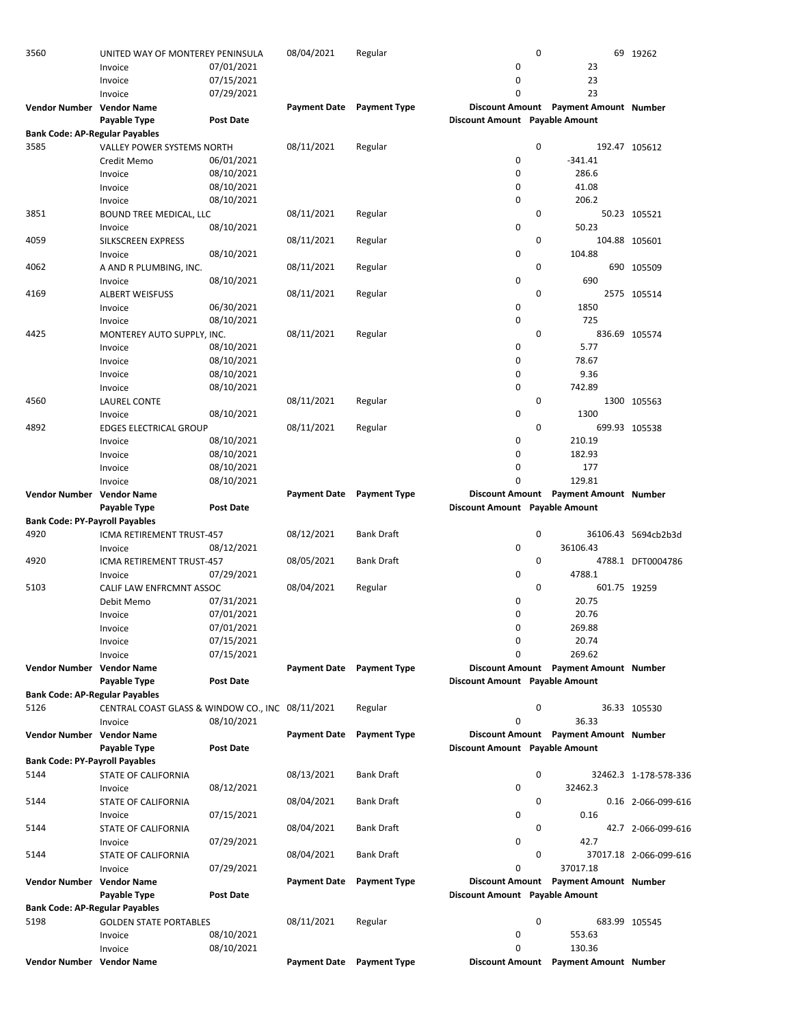| 3560                                  | UNITED WAY OF MONTEREY PENINSULA                 |                  | 08/04/2021          | Regular                          | 0                              |                                       | 69 19262               |
|---------------------------------------|--------------------------------------------------|------------------|---------------------|----------------------------------|--------------------------------|---------------------------------------|------------------------|
|                                       | Invoice                                          | 07/01/2021       |                     |                                  | 0                              | 23                                    |                        |
|                                       | Invoice                                          | 07/15/2021       |                     |                                  | 0                              | 23                                    |                        |
|                                       | Invoice                                          | 07/29/2021       |                     |                                  | $\Omega$                       | 23                                    |                        |
| Vendor Number Vendor Name             |                                                  |                  | <b>Payment Date</b> | <b>Payment Type</b>              |                                | Discount Amount Payment Amount Number |                        |
|                                       | <b>Payable Type</b>                              |                  |                     |                                  | Discount Amount Payable Amount |                                       |                        |
|                                       |                                                  | <b>Post Date</b> |                     |                                  |                                |                                       |                        |
| <b>Bank Code: AP-Regular Payables</b> |                                                  |                  |                     |                                  |                                |                                       |                        |
| 3585                                  | <b>VALLEY POWER SYSTEMS NORTH</b>                |                  | 08/11/2021          | Regular                          | 0                              |                                       | 192.47 105612          |
|                                       | Credit Memo                                      | 06/01/2021       |                     |                                  | 0                              | $-341.41$                             |                        |
|                                       | Invoice                                          | 08/10/2021       |                     |                                  | 0                              | 286.6                                 |                        |
|                                       | Invoice                                          | 08/10/2021       |                     |                                  | 0                              | 41.08                                 |                        |
|                                       | Invoice                                          | 08/10/2021       |                     |                                  | 0                              | 206.2                                 |                        |
| 3851                                  | <b>BOUND TREE MEDICAL, LLC</b>                   |                  | 08/11/2021          | Regular                          | 0                              |                                       | 50.23 105521           |
|                                       | Invoice                                          | 08/10/2021       |                     |                                  | 0                              | 50.23                                 |                        |
|                                       |                                                  |                  |                     |                                  | 0                              |                                       | 104.88 105601          |
| 4059                                  | SILKSCREEN EXPRESS                               |                  | 08/11/2021          | Regular                          |                                |                                       |                        |
|                                       | Invoice                                          | 08/10/2021       |                     |                                  | 0                              | 104.88                                |                        |
| 4062                                  | A AND R PLUMBING, INC.                           |                  | 08/11/2021          | Regular                          | 0                              |                                       | 690 105509             |
|                                       | Invoice                                          | 08/10/2021       |                     |                                  | 0                              | 690                                   |                        |
| 4169                                  | <b>ALBERT WEISFUSS</b>                           |                  | 08/11/2021          | Regular                          | 0                              |                                       | 2575 105514            |
|                                       | Invoice                                          | 06/30/2021       |                     |                                  | 0                              | 1850                                  |                        |
|                                       | Invoice                                          | 08/10/2021       |                     |                                  | 0                              | 725                                   |                        |
| 4425                                  | MONTEREY AUTO SUPPLY, INC.                       |                  | 08/11/2021          | Regular                          | 0                              |                                       | 836.69 105574          |
|                                       | Invoice                                          | 08/10/2021       |                     |                                  | 0                              | 5.77                                  |                        |
|                                       | Invoice                                          | 08/10/2021       |                     |                                  | 0                              | 78.67                                 |                        |
|                                       |                                                  |                  |                     |                                  | 0                              | 9.36                                  |                        |
|                                       | Invoice                                          | 08/10/2021       |                     |                                  |                                |                                       |                        |
|                                       | Invoice                                          | 08/10/2021       |                     |                                  | 0                              | 742.89                                |                        |
| 4560                                  | LAUREL CONTE                                     |                  | 08/11/2021          | Regular                          | 0                              |                                       | 1300 105563            |
|                                       | Invoice                                          | 08/10/2021       |                     |                                  | 0                              | 1300                                  |                        |
| 4892                                  | <b>EDGES ELECTRICAL GROUP</b>                    |                  | 08/11/2021          | Regular                          | 0                              |                                       | 699.93 105538          |
|                                       | Invoice                                          | 08/10/2021       |                     |                                  | 0                              | 210.19                                |                        |
|                                       | Invoice                                          | 08/10/2021       |                     |                                  | 0                              | 182.93                                |                        |
|                                       | Invoice                                          | 08/10/2021       |                     |                                  | 0                              | 177                                   |                        |
|                                       | Invoice                                          | 08/10/2021       |                     |                                  | $\Omega$                       | 129.81                                |                        |
|                                       |                                                  |                  |                     | <b>Payment Date</b> Payment Type |                                | Discount Amount Payment Amount Number |                        |
| Vendor Number Vendor Name             |                                                  |                  |                     |                                  |                                |                                       |                        |
|                                       | Payable Type                                     | <b>Post Date</b> |                     |                                  | Discount Amount Payable Amount |                                       |                        |
| <b>Bank Code: PY-Payroll Payables</b> |                                                  |                  |                     |                                  |                                |                                       |                        |
| 4920                                  | ICMA RETIREMENT TRUST-457                        |                  | 08/12/2021          | <b>Bank Draft</b>                | 0                              |                                       | 36106.43 5694cb2b3d    |
|                                       | Invoice                                          | 08/12/2021       |                     |                                  | 0                              | 36106.43                              |                        |
| 4920                                  | ICMA RETIREMENT TRUST-457                        |                  | 08/05/2021          | <b>Bank Draft</b>                | 0                              |                                       | 4788.1 DFT0004786      |
|                                       | Invoice                                          | 07/29/2021       |                     |                                  | 0                              | 4788.1                                |                        |
| 5103                                  | CALIF LAW ENFRCMNT ASSOC                         |                  | 08/04/2021          | Regular                          | 0                              | 601.75 19259                          |                        |
|                                       | Debit Memo                                       | 07/31/2021       |                     |                                  | 0                              | 20.75                                 |                        |
|                                       |                                                  |                  |                     |                                  |                                |                                       |                        |
|                                       |                                                  |                  |                     |                                  |                                |                                       |                        |
|                                       | Invoice                                          | 07/01/2021       |                     |                                  | 0                              | 20.76                                 |                        |
|                                       | Invoice                                          | 07/01/2021       |                     |                                  | 0                              | 269.88                                |                        |
|                                       | Invoice                                          | 07/15/2021       |                     |                                  | 0                              | 20.74                                 |                        |
|                                       | Invoice                                          | 07/15/2021       |                     |                                  | 0                              | 269.62                                |                        |
| Vendor Number Vendor Name             |                                                  |                  | <b>Payment Date</b> | <b>Payment Type</b>              |                                | Discount Amount Payment Amount Number |                        |
|                                       | Payable Type                                     | <b>Post Date</b> |                     |                                  | Discount Amount Payable Amount |                                       |                        |
| <b>Bank Code: AP-Regular Payables</b> |                                                  |                  |                     |                                  |                                |                                       |                        |
| 5126                                  |                                                  |                  |                     |                                  | 0                              |                                       |                        |
|                                       | CENTRAL COAST GLASS & WINDOW CO., INC 08/11/2021 |                  |                     | Regular                          |                                |                                       | 36.33 105530           |
|                                       | Invoice                                          | 08/10/2021       |                     |                                  | 0                              | 36.33                                 |                        |
| Vendor Number Vendor Name             |                                                  |                  | <b>Payment Date</b> | <b>Payment Type</b>              |                                | Discount Amount Payment Amount Number |                        |
|                                       | Payable Type                                     | <b>Post Date</b> |                     |                                  | Discount Amount Payable Amount |                                       |                        |
| <b>Bank Code: PY-Payroll Payables</b> |                                                  |                  |                     |                                  |                                |                                       |                        |
| 5144                                  | STATE OF CALIFORNIA                              |                  | 08/13/2021          | <b>Bank Draft</b>                | 0                              |                                       | 32462.3 1-178-578-336  |
|                                       | Invoice                                          | 08/12/2021       |                     |                                  | 0                              | 32462.3                               |                        |
| 5144                                  | STATE OF CALIFORNIA                              |                  | 08/04/2021          | <b>Bank Draft</b>                | 0                              |                                       | 0.16 2-066-099-616     |
|                                       | Invoice                                          | 07/15/2021       |                     |                                  | 0                              | 0.16                                  |                        |
| 5144                                  | STATE OF CALIFORNIA                              |                  | 08/04/2021          | Bank Draft                       | 0                              |                                       | 42.7 2-066-099-616     |
|                                       |                                                  |                  |                     |                                  | 0                              | 42.7                                  |                        |
|                                       | Invoice                                          | 07/29/2021       |                     |                                  |                                |                                       |                        |
| 5144                                  | STATE OF CALIFORNIA                              |                  | 08/04/2021          | <b>Bank Draft</b>                | 0                              |                                       | 37017.18 2-066-099-616 |
|                                       | Invoice                                          | 07/29/2021       |                     |                                  | 0                              | 37017.18                              |                        |
| Vendor Number Vendor Name             |                                                  |                  | <b>Payment Date</b> | <b>Payment Type</b>              |                                | Discount Amount Payment Amount Number |                        |
|                                       | Payable Type                                     | <b>Post Date</b> |                     |                                  | Discount Amount Payable Amount |                                       |                        |
| <b>Bank Code: AP-Regular Payables</b> |                                                  |                  |                     |                                  |                                |                                       |                        |
| 5198                                  | <b>GOLDEN STATE PORTABLES</b>                    |                  | 08/11/2021          | Regular                          | 0                              |                                       | 683.99 105545          |
|                                       | Invoice                                          | 08/10/2021       |                     |                                  | 0                              | 553.63                                |                        |
|                                       | Invoice                                          | 08/10/2021       |                     |                                  | 0                              | 130.36                                |                        |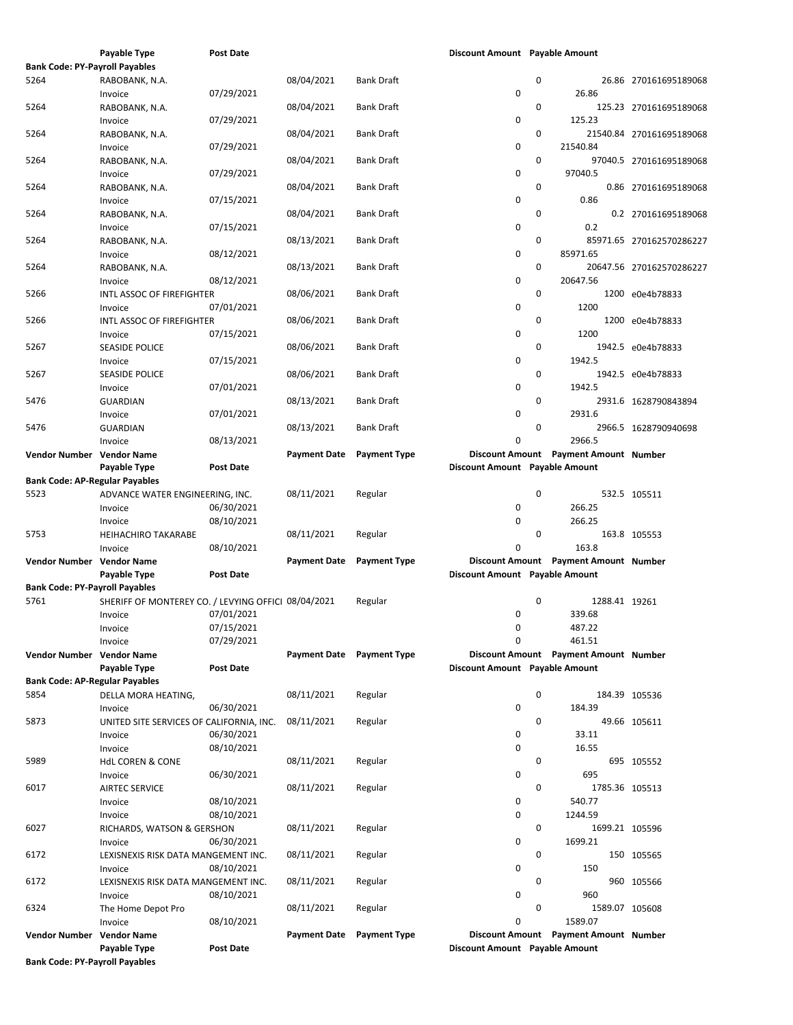|                                       | Payable Type                                        | Post Date        |                           |                     | Discount Amount Payable Amount |   |                                       |                          |
|---------------------------------------|-----------------------------------------------------|------------------|---------------------------|---------------------|--------------------------------|---|---------------------------------------|--------------------------|
| <b>Bank Code: PY-Payroll Payables</b> |                                                     |                  |                           |                     |                                |   |                                       |                          |
| 5264                                  | RABOBANK, N.A.                                      |                  | 08/04/2021                | <b>Bank Draft</b>   |                                | 0 |                                       | 26.86 270161695189068    |
|                                       | Invoice                                             | 07/29/2021       |                           |                     | 0                              |   | 26.86                                 |                          |
| 5264                                  | RABOBANK, N.A.                                      |                  | 08/04/2021                | <b>Bank Draft</b>   |                                | 0 |                                       | 125.23 270161695189068   |
|                                       | Invoice                                             | 07/29/2021       |                           |                     | 0                              |   | 125.23                                |                          |
| 5264                                  | RABOBANK, N.A.                                      |                  | 08/04/2021                | <b>Bank Draft</b>   |                                | 0 |                                       | 21540.84 270161695189068 |
|                                       | Invoice                                             | 07/29/2021       |                           |                     | 0                              |   | 21540.84                              |                          |
| 5264                                  | RABOBANK, N.A.                                      |                  | 08/04/2021                | Bank Draft          |                                | 0 |                                       | 97040.5 270161695189068  |
|                                       | Invoice                                             | 07/29/2021       |                           |                     | 0                              |   | 97040.5                               |                          |
| 5264                                  | RABOBANK, N.A.                                      |                  | 08/04/2021                | Bank Draft          |                                | 0 |                                       | 0.86 270161695189068     |
|                                       | Invoice                                             | 07/15/2021       |                           |                     | 0                              |   | 0.86                                  |                          |
| 5264                                  | RABOBANK, N.A.                                      |                  | 08/04/2021                | <b>Bank Draft</b>   |                                | 0 |                                       | 0.2 270161695189068      |
|                                       | Invoice                                             | 07/15/2021       |                           |                     | 0                              |   | 0.2                                   |                          |
| 5264                                  | RABOBANK, N.A.                                      |                  | 08/13/2021                | <b>Bank Draft</b>   |                                | 0 |                                       | 85971.65 270162570286227 |
|                                       | Invoice                                             | 08/12/2021       |                           |                     | 0                              |   | 85971.65                              |                          |
| 5264                                  | RABOBANK, N.A.                                      |                  | 08/13/2021                | <b>Bank Draft</b>   |                                | 0 |                                       | 20647.56 270162570286227 |
|                                       | Invoice                                             | 08/12/2021       |                           |                     | 0                              |   | 20647.56                              |                          |
| 5266                                  | INTL ASSOC OF FIREFIGHTER                           |                  | 08/06/2021                | <b>Bank Draft</b>   |                                | 0 |                                       | 1200 e0e4b78833          |
|                                       | Invoice                                             | 07/01/2021       |                           |                     | 0                              |   | 1200                                  |                          |
| 5266                                  | INTL ASSOC OF FIREFIGHTER                           |                  | 08/06/2021                | <b>Bank Draft</b>   |                                | 0 |                                       | 1200 e0e4b78833          |
|                                       | Invoice                                             | 07/15/2021       |                           |                     | 0                              |   | 1200                                  |                          |
| 5267                                  | <b>SEASIDE POLICE</b>                               |                  | 08/06/2021                | <b>Bank Draft</b>   |                                | 0 |                                       | 1942.5 e0e4b78833        |
|                                       | Invoice                                             | 07/15/2021       |                           |                     | 0                              |   | 1942.5                                |                          |
| 5267                                  | <b>SEASIDE POLICE</b>                               |                  | 08/06/2021                | Bank Draft          |                                | 0 |                                       | 1942.5 e0e4b78833        |
|                                       | Invoice                                             | 07/01/2021       |                           |                     | 0                              |   | 1942.5                                |                          |
| 5476                                  | <b>GUARDIAN</b>                                     |                  | 08/13/2021                | <b>Bank Draft</b>   |                                | 0 |                                       | 2931.6 1628790843894     |
|                                       | Invoice                                             | 07/01/2021       |                           |                     | 0                              |   | 2931.6                                |                          |
| 5476                                  | <b>GUARDIAN</b>                                     |                  | 08/13/2021                | Bank Draft          |                                | 0 |                                       | 2966.5 1628790940698     |
|                                       | Invoice                                             | 08/13/2021       |                           |                     | 0                              |   | 2966.5                                |                          |
| Vendor Number Vendor Name             |                                                     |                  | <b>Payment Date</b>       | <b>Payment Type</b> |                                |   | Discount Amount Payment Amount Number |                          |
|                                       | Payable Type                                        | Post Date        |                           |                     | Discount Amount Payable Amount |   |                                       |                          |
| <b>Bank Code: AP-Regular Payables</b> |                                                     |                  |                           |                     |                                |   |                                       |                          |
| 5523                                  | ADVANCE WATER ENGINEERING, INC.                     |                  | 08/11/2021                | Regular             |                                | 0 |                                       | 532.5 105511             |
|                                       | Invoice                                             | 06/30/2021       |                           |                     | 0                              |   | 266.25                                |                          |
|                                       | Invoice                                             | 08/10/2021       |                           |                     | 0                              |   | 266.25                                |                          |
| 5753                                  | <b>HEIHACHIRO TAKARABE</b>                          |                  | 08/11/2021                | Regular             |                                | 0 |                                       | 163.8 105553             |
|                                       | Invoice                                             | 08/10/2021       |                           |                     | 0                              |   | 163.8                                 |                          |
| Vendor Number Vendor Name             |                                                     |                  | <b>Payment Date</b>       | <b>Payment Type</b> |                                |   | Discount Amount Payment Amount Number |                          |
|                                       | Payable Type                                        | Post Date        |                           |                     | Discount Amount Payable Amount |   |                                       |                          |
| <b>Bank Code: PY-Payroll Payables</b> |                                                     |                  |                           |                     |                                |   |                                       |                          |
| 5761                                  | SHERIFF OF MONTEREY CO. / LEVYING OFFICI 08/04/2021 |                  |                           | Regular             |                                | 0 | 1288.41 19261                         |                          |
|                                       | Invoice                                             | 07/01/2021       |                           |                     | 0                              |   | 339.68                                |                          |
|                                       | Invoice                                             | 07/15/2021       |                           |                     | 0                              |   | 487.22                                |                          |
|                                       | Invoice                                             | 07/29/2021       |                           |                     | 0                              |   | 461.51                                |                          |
| Vendor Number Vendor Name             |                                                     |                  | Payment Date Payment Type |                     |                                |   | Discount Amount Payment Amount Number |                          |
|                                       | Payable Type                                        | Post Date        |                           |                     | Discount Amount Payable Amount |   |                                       |                          |
| <b>Bank Code: AP-Regular Payables</b> |                                                     |                  |                           |                     |                                |   |                                       |                          |
| 5854                                  | DELLA MORA HEATING,                                 |                  | 08/11/2021                | Regular             |                                | 0 |                                       | 184.39 105536            |
|                                       | Invoice                                             | 06/30/2021       |                           |                     | 0                              |   | 184.39                                |                          |
| 5873                                  | UNITED SITE SERVICES OF CALIFORNIA, INC.            |                  | 08/11/2021                | Regular             |                                | 0 |                                       | 49.66 105611             |
|                                       | Invoice                                             | 06/30/2021       |                           |                     | 0                              |   | 33.11                                 |                          |
|                                       | Invoice                                             | 08/10/2021       |                           |                     | 0                              |   | 16.55                                 |                          |
| 5989                                  | <b>HdL COREN &amp; CONE</b>                         |                  | 08/11/2021                | Regular             |                                | 0 |                                       | 695 105552               |
|                                       | Invoice                                             | 06/30/2021       |                           |                     | 0                              |   | 695                                   |                          |
| 6017                                  | <b>AIRTEC SERVICE</b>                               |                  | 08/11/2021                | Regular             |                                | 0 | 1785.36 105513                        |                          |
|                                       | Invoice                                             | 08/10/2021       |                           |                     | 0                              |   | 540.77                                |                          |
|                                       | Invoice                                             | 08/10/2021       |                           |                     | 0                              |   | 1244.59                               |                          |
| 6027                                  | RICHARDS, WATSON & GERSHON                          |                  | 08/11/2021                | Regular             |                                | 0 | 1699.21 105596                        |                          |
|                                       | Invoice                                             | 06/30/2021       |                           |                     | 0                              |   | 1699.21                               |                          |
| 6172                                  | LEXISNEXIS RISK DATA MANGEMENT INC.                 |                  | 08/11/2021                | Regular             |                                | 0 |                                       | 150 105565               |
|                                       | Invoice                                             | 08/10/2021       |                           |                     | 0                              |   | 150                                   |                          |
| 6172                                  | LEXISNEXIS RISK DATA MANGEMENT INC.                 |                  | 08/11/2021                | Regular             |                                | 0 |                                       | 960 105566               |
|                                       | Invoice                                             | 08/10/2021       |                           |                     | 0                              |   | 960                                   |                          |
| 6324                                  | The Home Depot Pro                                  |                  | 08/11/2021                | Regular             |                                | 0 | 1589.07 105608                        |                          |
|                                       | Invoice                                             | 08/10/2021       |                           |                     | 0                              |   | 1589.07                               |                          |
| Vendor Number Vendor Name             |                                                     |                  | <b>Payment Date</b>       | <b>Payment Type</b> |                                |   | Discount Amount Payment Amount Number |                          |
|                                       | Payable Type                                        | <b>Post Date</b> |                           |                     | Discount Amount Payable Amount |   |                                       |                          |
| <b>Bank Code: PY-Payroll Payables</b> |                                                     |                  |                           |                     |                                |   |                                       |                          |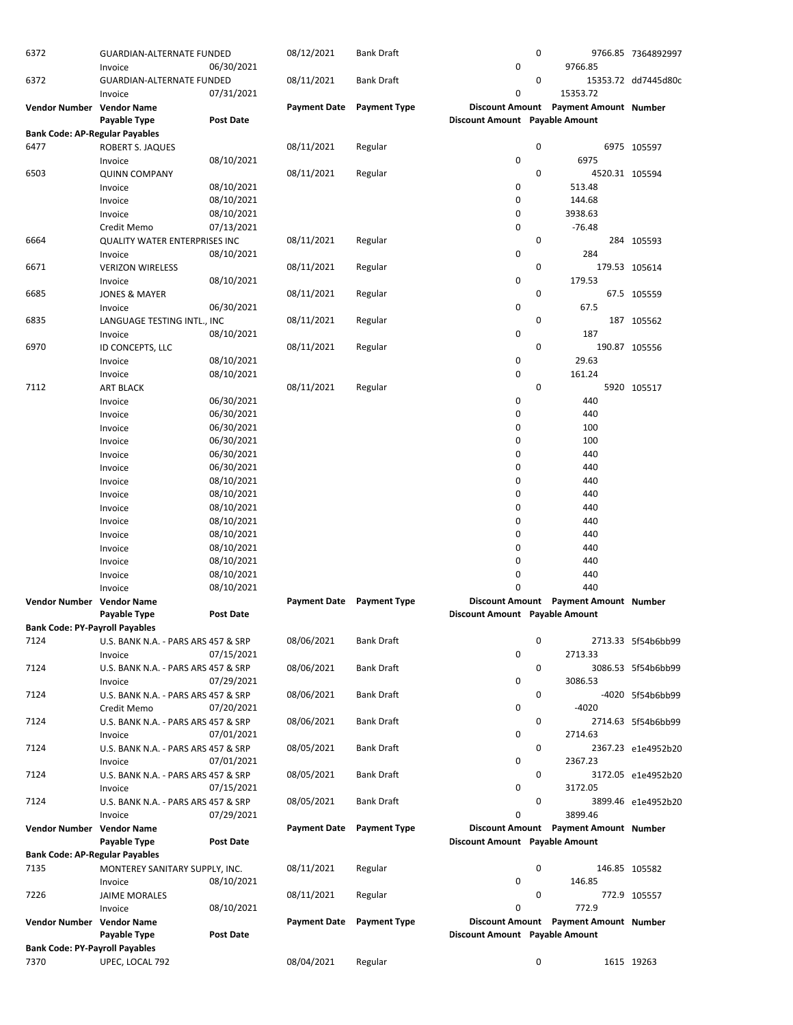| 6372                                  | <b>GUARDIAN-ALTERNATE FUNDED</b><br>Invoice | 06/30/2021       | 08/12/2021          | <b>Bank Draft</b>   | 0                              | 0 | 9766.85                               | 9766.85 7364892997  |
|---------------------------------------|---------------------------------------------|------------------|---------------------|---------------------|--------------------------------|---|---------------------------------------|---------------------|
| 6372                                  | <b>GUARDIAN-ALTERNATE FUNDED</b>            |                  | 08/11/2021          | <b>Bank Draft</b>   |                                | 0 |                                       | 15353.72 dd7445d80c |
|                                       | Invoice                                     | 07/31/2021       |                     |                     | 0                              |   | 15353.72                              |                     |
| Vendor Number Vendor Name             |                                             |                  | <b>Payment Date</b> | <b>Payment Type</b> |                                |   | Discount Amount Payment Amount Number |                     |
|                                       | Payable Type                                | Post Date        |                     |                     | Discount Amount Payable Amount |   |                                       |                     |
| <b>Bank Code: AP-Regular Payables</b> |                                             |                  |                     |                     |                                |   |                                       |                     |
| 6477                                  | ROBERT S. JAQUES                            |                  | 08/11/2021          | Regular             |                                | 0 |                                       | 6975 105597         |
|                                       | Invoice                                     | 08/10/2021       |                     |                     | 0                              |   | 6975                                  |                     |
| 6503                                  | <b>QUINN COMPANY</b>                        |                  | 08/11/2021          | Regular             |                                | 0 | 4520.31 105594                        |                     |
|                                       | Invoice                                     | 08/10/2021       |                     |                     | 0                              |   | 513.48                                |                     |
|                                       | Invoice                                     | 08/10/2021       |                     |                     | 0                              |   | 144.68                                |                     |
|                                       | Invoice                                     | 08/10/2021       |                     |                     | 0                              |   | 3938.63                               |                     |
|                                       | Credit Memo                                 | 07/13/2021       |                     |                     | 0                              |   | $-76.48$                              |                     |
| 6664                                  | QUALITY WATER ENTERPRISES INC               |                  | 08/11/2021          | Regular             |                                | 0 |                                       | 284 105593          |
|                                       | Invoice                                     | 08/10/2021       |                     |                     | 0                              |   | 284                                   |                     |
| 6671                                  | <b>VERIZON WIRELESS</b>                     |                  | 08/11/2021          | Regular             |                                | 0 |                                       | 179.53 105614       |
|                                       | Invoice                                     | 08/10/2021       |                     |                     | 0                              |   | 179.53                                |                     |
| 6685                                  | <b>JONES &amp; MAYER</b>                    |                  | 08/11/2021          | Regular             |                                | 0 |                                       | 67.5 105559         |
|                                       | Invoice                                     | 06/30/2021       |                     |                     | 0                              |   | 67.5                                  |                     |
| 6835                                  | LANGUAGE TESTING INTL., INC                 |                  | 08/11/2021          | Regular             |                                | 0 |                                       | 187 105562          |
|                                       | Invoice                                     | 08/10/2021       |                     |                     | 0                              |   | 187                                   |                     |
| 6970                                  | ID CONCEPTS, LLC                            |                  | 08/11/2021          | Regular             |                                | 0 |                                       | 190.87 105556       |
|                                       | Invoice                                     | 08/10/2021       |                     |                     | 0                              |   | 29.63                                 |                     |
|                                       | Invoice                                     | 08/10/2021       |                     |                     | 0                              |   | 161.24                                |                     |
| 7112                                  | <b>ART BLACK</b>                            |                  | 08/11/2021          | Regular             |                                | 0 |                                       | 5920 105517         |
|                                       | Invoice                                     | 06/30/2021       |                     |                     | 0                              |   | 440                                   |                     |
|                                       | Invoice                                     | 06/30/2021       |                     |                     | 0                              |   | 440                                   |                     |
|                                       | Invoice                                     | 06/30/2021       |                     |                     | 0                              |   | 100                                   |                     |
|                                       | Invoice                                     | 06/30/2021       |                     |                     | 0                              |   | 100                                   |                     |
|                                       | Invoice                                     | 06/30/2021       |                     |                     | 0                              |   | 440                                   |                     |
|                                       | Invoice                                     | 06/30/2021       |                     |                     | 0                              |   | 440                                   |                     |
|                                       | Invoice                                     | 08/10/2021       |                     |                     | 0                              |   | 440                                   |                     |
|                                       | Invoice                                     | 08/10/2021       |                     |                     | 0                              |   | 440                                   |                     |
|                                       | Invoice                                     | 08/10/2021       |                     |                     | 0                              |   | 440                                   |                     |
|                                       | Invoice                                     | 08/10/2021       |                     |                     | 0                              |   | 440                                   |                     |
|                                       | Invoice                                     | 08/10/2021       |                     |                     | 0                              |   | 440                                   |                     |
|                                       | Invoice                                     | 08/10/2021       |                     |                     | 0                              |   | 440                                   |                     |
|                                       | Invoice                                     | 08/10/2021       |                     |                     | 0                              |   | 440                                   |                     |
|                                       | Invoice                                     | 08/10/2021       |                     |                     | 0                              |   | 440                                   |                     |
|                                       | Invoice                                     | 08/10/2021       |                     |                     | 0                              |   | 440                                   |                     |
| <b>Vendor Number</b>                  | <b>Vendor Name</b>                          |                  | <b>Payment Date</b> | <b>Payment Type</b> |                                |   | Discount Amount Payment Amount Number |                     |
|                                       | Payable Type                                | <b>Post Date</b> |                     |                     | Discount Amount Payable Amount |   |                                       |                     |
| <b>Bank Code: PY-Payroll Payables</b> |                                             |                  |                     |                     |                                |   |                                       |                     |
| 7124                                  | U.S. BANK N.A. - PARS ARS 457 & SRP         |                  | 08/06/2021          | <b>Bank Draft</b>   |                                | 0 |                                       | 2713.33 5f54b6bb99  |
|                                       | Invoice                                     | 07/15/2021       |                     |                     | 0                              |   | 2713.33                               |                     |
| 7124                                  | U.S. BANK N.A. - PARS ARS 457 & SRP         |                  | 08/06/2021          | <b>Bank Draft</b>   |                                | 0 |                                       | 3086.53 5f54b6bb99  |
|                                       | Invoice                                     | 07/29/2021       |                     |                     | 0                              |   | 3086.53                               |                     |
| 7124                                  | U.S. BANK N.A. - PARS ARS 457 & SRP         |                  | 08/06/2021          | <b>Bank Draft</b>   |                                | 0 |                                       | -4020 5f54b6bb99    |
|                                       | Credit Memo                                 | 07/20/2021       |                     |                     | 0                              |   | $-4020$                               |                     |
| 7124                                  | U.S. BANK N.A. - PARS ARS 457 & SRP         |                  | 08/06/2021          | <b>Bank Draft</b>   |                                | 0 |                                       | 2714.63 5f54b6bb99  |
|                                       | Invoice                                     | 07/01/2021       |                     |                     | 0                              |   | 2714.63                               |                     |
| 7124                                  | U.S. BANK N.A. - PARS ARS 457 & SRP         |                  | 08/05/2021          | <b>Bank Draft</b>   |                                | 0 |                                       | 2367.23 e1e4952b20  |
|                                       | Invoice                                     | 07/01/2021       |                     |                     | 0                              |   | 2367.23                               |                     |
| 7124                                  | U.S. BANK N.A. - PARS ARS 457 & SRP         |                  | 08/05/2021          | <b>Bank Draft</b>   |                                | 0 |                                       | 3172.05 e1e4952b20  |
|                                       | Invoice                                     | 07/15/2021       |                     |                     | 0                              |   | 3172.05                               |                     |
| 7124                                  | U.S. BANK N.A. - PARS ARS 457 & SRP         |                  | 08/05/2021          | <b>Bank Draft</b>   |                                | 0 |                                       | 3899.46 e1e4952b20  |
|                                       | Invoice                                     | 07/29/2021       |                     |                     | 0                              |   | 3899.46                               |                     |
| Vendor Number Vendor Name             |                                             |                  | <b>Payment Date</b> | <b>Payment Type</b> |                                |   | Discount Amount Payment Amount Number |                     |
|                                       | Payable Type                                | <b>Post Date</b> |                     |                     | Discount Amount Payable Amount |   |                                       |                     |
| <b>Bank Code: AP-Regular Payables</b> |                                             |                  |                     |                     |                                |   |                                       |                     |
| 7135                                  | MONTEREY SANITARY SUPPLY, INC.              |                  | 08/11/2021          | Regular             |                                | 0 |                                       | 146.85 105582       |
|                                       | Invoice                                     | 08/10/2021       |                     |                     | 0                              |   | 146.85                                |                     |
| 7226                                  | <b>JAIME MORALES</b>                        |                  | 08/11/2021          | Regular             |                                | 0 |                                       | 772.9 105557        |
|                                       | Invoice                                     | 08/10/2021       |                     |                     | 0                              |   | 772.9                                 |                     |
| Vendor Number Vendor Name             |                                             |                  | <b>Payment Date</b> | <b>Payment Type</b> |                                |   | Discount Amount Payment Amount Number |                     |
|                                       | Payable Type                                | <b>Post Date</b> |                     |                     | Discount Amount Payable Amount |   |                                       |                     |
| <b>Bank Code: PY-Payroll Payables</b> |                                             |                  |                     |                     |                                |   |                                       |                     |
| 7370                                  | UPEC, LOCAL 792                             |                  | 08/04/2021          | Regular             |                                | 0 |                                       | 1615 19263          |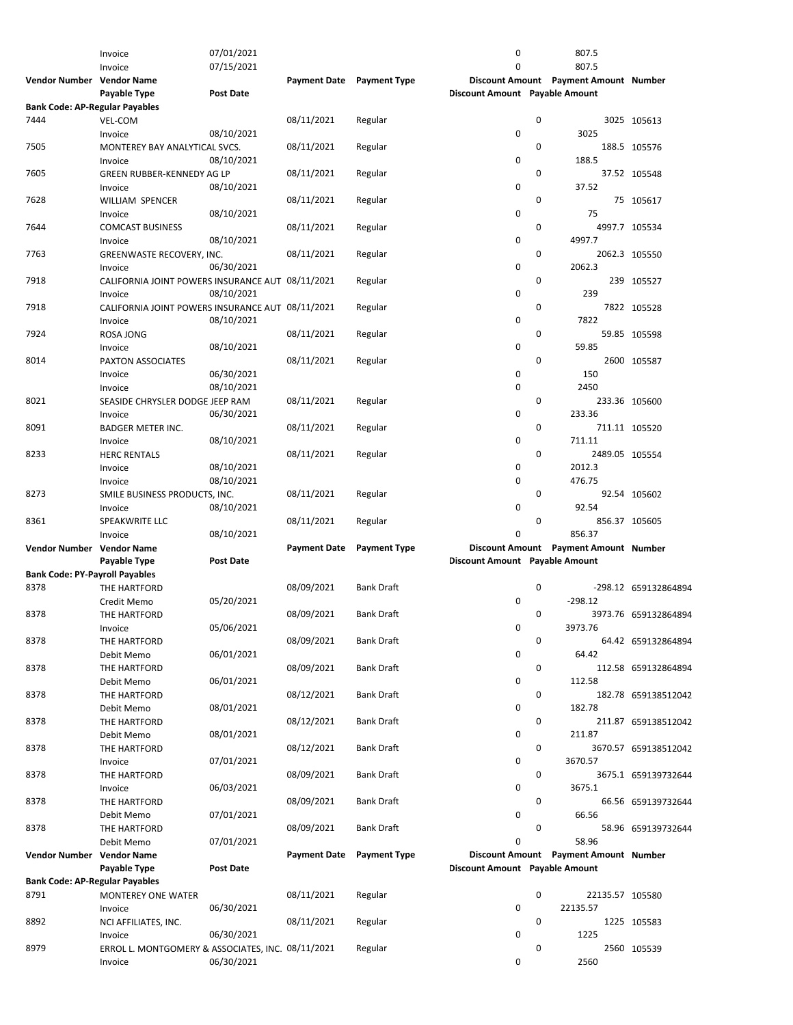|                                       | Invoice                                           | 07/01/2021       |                           |                     | 0                              |   | 807.5                                 |                      |
|---------------------------------------|---------------------------------------------------|------------------|---------------------------|---------------------|--------------------------------|---|---------------------------------------|----------------------|
|                                       | Invoice                                           | 07/15/2021       |                           |                     | 0                              |   | 807.5                                 |                      |
| Vendor Number Vendor Name             |                                                   |                  | Payment Date Payment Type |                     |                                |   | Discount Amount Payment Amount Number |                      |
|                                       | Payable Type                                      | <b>Post Date</b> |                           |                     | Discount Amount Payable Amount |   |                                       |                      |
|                                       |                                                   |                  |                           |                     |                                |   |                                       |                      |
| <b>Bank Code: AP-Regular Payables</b> |                                                   |                  |                           |                     |                                |   |                                       |                      |
| 7444                                  | VEL-COM                                           |                  | 08/11/2021                | Regular             |                                | 0 |                                       | 3025 105613          |
|                                       | Invoice                                           | 08/10/2021       |                           |                     | 0                              |   | 3025                                  |                      |
| 7505                                  | MONTEREY BAY ANALYTICAL SVCS.                     |                  | 08/11/2021                | Regular             |                                | 0 |                                       | 188.5 105576         |
|                                       | Invoice                                           | 08/10/2021       |                           |                     | 0                              |   | 188.5                                 |                      |
| 7605                                  | <b>GREEN RUBBER-KENNEDY AG LP</b>                 |                  | 08/11/2021                | Regular             |                                | 0 |                                       | 37.52 105548         |
|                                       | Invoice                                           | 08/10/2021       |                           |                     | 0                              |   | 37.52                                 |                      |
| 7628                                  | <b>WILLIAM SPENCER</b>                            |                  | 08/11/2021                | Regular             |                                | 0 |                                       | 75 105617            |
|                                       | Invoice                                           | 08/10/2021       |                           |                     | 0                              |   | 75                                    |                      |
| 7644                                  | <b>COMCAST BUSINESS</b>                           |                  |                           |                     |                                | 0 |                                       | 4997.7 105534        |
|                                       |                                                   |                  | 08/11/2021                | Regular             |                                |   |                                       |                      |
|                                       | Invoice                                           | 08/10/2021       |                           |                     | 0                              |   | 4997.7                                |                      |
| 7763                                  | GREENWASTE RECOVERY, INC.                         |                  | 08/11/2021                | Regular             |                                | 0 |                                       | 2062.3 105550        |
|                                       | Invoice                                           | 06/30/2021       |                           |                     | 0                              |   | 2062.3                                |                      |
| 7918                                  | CALIFORNIA JOINT POWERS INSURANCE AUT 08/11/2021  |                  |                           | Regular             |                                | 0 |                                       | 239 105527           |
|                                       | Invoice                                           | 08/10/2021       |                           |                     | 0                              |   | 239                                   |                      |
| 7918                                  | CALIFORNIA JOINT POWERS INSURANCE AUT 08/11/2021  |                  |                           | Regular             |                                | 0 |                                       | 7822 105528          |
|                                       | Invoice                                           | 08/10/2021       |                           |                     | 0                              |   | 7822                                  |                      |
| 7924                                  | <b>ROSA JONG</b>                                  |                  | 08/11/2021                | Regular             |                                | 0 |                                       | 59.85 105598         |
|                                       | Invoice                                           | 08/10/2021       |                           |                     | 0                              |   | 59.85                                 |                      |
| 8014                                  | PAXTON ASSOCIATES                                 |                  | 08/11/2021                |                     |                                | 0 |                                       | 2600 105587          |
|                                       |                                                   |                  |                           | Regular             |                                |   |                                       |                      |
|                                       | Invoice                                           | 06/30/2021       |                           |                     | 0                              |   | 150                                   |                      |
|                                       | Invoice                                           | 08/10/2021       |                           |                     | 0                              |   | 2450                                  |                      |
| 8021                                  | SEASIDE CHRYSLER DODGE JEEP RAM                   |                  | 08/11/2021                | Regular             |                                | 0 |                                       | 233.36 105600        |
|                                       | Invoice                                           | 06/30/2021       |                           |                     | 0                              |   | 233.36                                |                      |
| 8091                                  | <b>BADGER METER INC.</b>                          |                  | 08/11/2021                | Regular             |                                | 0 |                                       | 711.11 105520        |
|                                       | Invoice                                           | 08/10/2021       |                           |                     | 0                              |   | 711.11                                |                      |
| 8233                                  | <b>HERC RENTALS</b>                               |                  | 08/11/2021                | Regular             |                                | 0 | 2489.05 105554                        |                      |
|                                       | Invoice                                           | 08/10/2021       |                           |                     | 0                              |   | 2012.3                                |                      |
|                                       | Invoice                                           | 08/10/2021       |                           |                     | 0                              |   | 476.75                                |                      |
|                                       |                                                   |                  |                           |                     |                                |   |                                       |                      |
| 8273                                  | SMILE BUSINESS PRODUCTS, INC.                     |                  | 08/11/2021                | Regular             |                                | 0 |                                       | 92.54 105602         |
|                                       | Invoice                                           | 08/10/2021       |                           |                     | 0                              |   | 92.54                                 |                      |
| 8361                                  | SPEAKWRITE LLC                                    |                  | 08/11/2021                | Regular             |                                | 0 |                                       | 856.37 105605        |
|                                       | Invoice                                           | 08/10/2021       |                           |                     | 0                              |   | 856.37                                |                      |
| Vendor Number Vendor Name             |                                                   |                  | <b>Payment Date</b>       | <b>Payment Type</b> |                                |   | Discount Amount Payment Amount Number |                      |
|                                       | Payable Type                                      | <b>Post Date</b> |                           |                     | Discount Amount Payable Amount |   |                                       |                      |
| <b>Bank Code: PY-Payroll Payables</b> |                                                   |                  |                           |                     |                                |   |                                       |                      |
| 8378                                  | THE HARTFORD                                      |                  | 08/09/2021                | <b>Bank Draft</b>   |                                | 0 |                                       | -298.12 659132864894 |
|                                       | Credit Memo                                       | 05/20/2021       |                           |                     | 0                              |   | $-298.12$                             |                      |
| 8378                                  | THE HARTFORD                                      |                  | 08/09/2021                | <b>Bank Draft</b>   |                                | 0 |                                       | 3973.76 659132864894 |
|                                       |                                                   | 05/06/2021       |                           |                     |                                |   | 3973.76                               |                      |
|                                       | Invoice                                           |                  |                           |                     | 0                              |   |                                       |                      |
| 8378                                  | THE HARTFORD                                      |                  | 08/09/2021                | <b>Bank Draft</b>   |                                | 0 |                                       | 64.42 659132864894   |
|                                       | Debit Memo                                        | 06/01/2021       |                           |                     | 0                              |   | 64.42                                 |                      |
| 8378                                  | THE HARTFORD                                      |                  | 08/09/2021                | <b>Bank Draft</b>   |                                | 0 |                                       | 112.58 659132864894  |
|                                       | Debit Memo                                        | 06/01/2021       |                           |                     | 0                              |   | 112.58                                |                      |
| 8378                                  | THE HARTFORD                                      |                  | 08/12/2021                | <b>Bank Draft</b>   |                                | 0 |                                       | 182.78 659138512042  |
|                                       | Debit Memo                                        | 08/01/2021       |                           |                     | 0                              |   | 182.78                                |                      |
| 8378                                  | THE HARTFORD                                      |                  | 08/12/2021                | <b>Bank Draft</b>   |                                | 0 |                                       | 211.87 659138512042  |
|                                       | Debit Memo                                        | 08/01/2021       |                           |                     | 0                              |   | 211.87                                |                      |
| 8378                                  | THE HARTFORD                                      |                  | 08/12/2021                | <b>Bank Draft</b>   |                                | 0 |                                       | 3670.57 659138512042 |
|                                       |                                                   | 07/01/2021       |                           |                     | 0                              |   | 3670.57                               |                      |
|                                       | Invoice                                           |                  |                           |                     |                                |   |                                       |                      |
| 8378                                  | THE HARTFORD                                      |                  | 08/09/2021                | Bank Draft          |                                | 0 |                                       | 3675.1 659139732644  |
|                                       | Invoice                                           | 06/03/2021       |                           |                     | 0                              |   | 3675.1                                |                      |
| 8378                                  | THE HARTFORD                                      |                  | 08/09/2021                | <b>Bank Draft</b>   |                                | 0 |                                       | 66.56 659139732644   |
|                                       | Debit Memo                                        | 07/01/2021       |                           |                     | 0                              |   | 66.56                                 |                      |
| 8378                                  | THE HARTFORD                                      |                  | 08/09/2021                | <b>Bank Draft</b>   |                                | 0 |                                       | 58.96 659139732644   |
|                                       | Debit Memo                                        | 07/01/2021       |                           |                     | 0                              |   | 58.96                                 |                      |
| Vendor Number Vendor Name             |                                                   |                  | <b>Payment Date</b>       | <b>Payment Type</b> |                                |   | Discount Amount Payment Amount Number |                      |
|                                       | Payable Type                                      | <b>Post Date</b> |                           |                     | Discount Amount Payable Amount |   |                                       |                      |
| <b>Bank Code: AP-Regular Payables</b> |                                                   |                  |                           |                     |                                |   |                                       |                      |
| 8791                                  | MONTEREY ONE WATER                                |                  | 08/11/2021                | Regular             |                                | 0 | 22135.57 105580                       |                      |
|                                       |                                                   |                  |                           |                     | 0                              |   |                                       |                      |
|                                       | Invoice                                           | 06/30/2021       |                           |                     |                                |   | 22135.57                              |                      |
| 8892                                  | NCI AFFILIATES, INC.                              |                  | 08/11/2021                | Regular             |                                | 0 |                                       | 1225 105583          |
|                                       | Invoice                                           | 06/30/2021       |                           |                     | 0                              |   | 1225                                  |                      |
| 8979                                  | ERROL L. MONTGOMERY & ASSOCIATES, INC. 08/11/2021 |                  |                           | Regular             |                                | 0 |                                       | 2560 105539          |
|                                       | Invoice                                           | 06/30/2021       |                           |                     | 0                              |   | 2560                                  |                      |